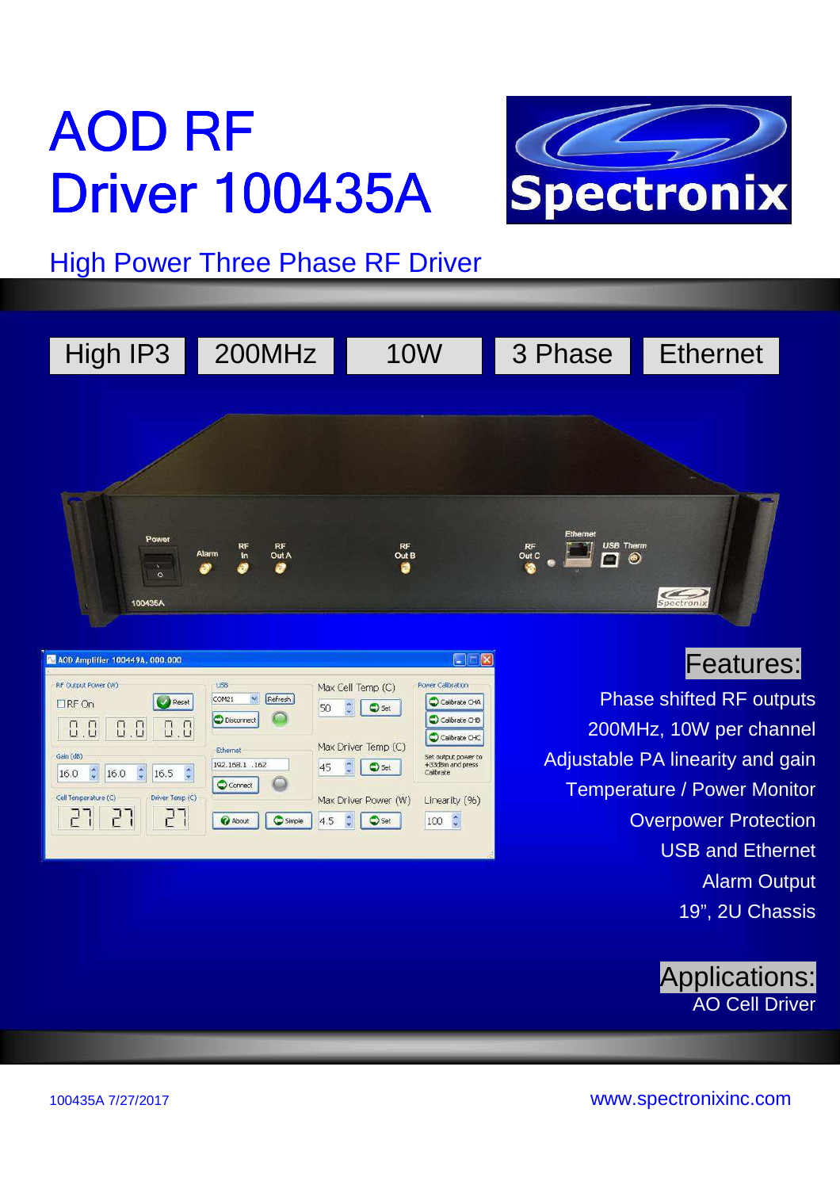# AOD RF **Driver 100435A**



## High Power Three Phase RF Driver

| High IP3 | 200MHz                                       | <b>10W</b>       | 3 Phase                                             | <b>Ethernet</b> |
|----------|----------------------------------------------|------------------|-----------------------------------------------------|-----------------|
|          |                                              |                  |                                                     |                 |
|          |                                              |                  |                                                     |                 |
| Power    |                                              |                  | Ethernet                                            |                 |
| $\delta$ | $\frac{RF}{In}$<br>RF<br>Alarm<br>Out A<br>Ø | RF<br>Out B<br>٥ | $\overline{\mathbf{C}}$ $\bullet$<br>$R_F$<br>Out C |                 |
| 100435A  |                                              |                  |                                                     | Spectronix      |



### Features:

Phase shifted RF outputs 200MHz, 10W per channel Adjustable PA linearity and gain Temperature / Power Monitor **Overpower Protection** USB and Ethernet Alarm Output 19", 2U Chassis